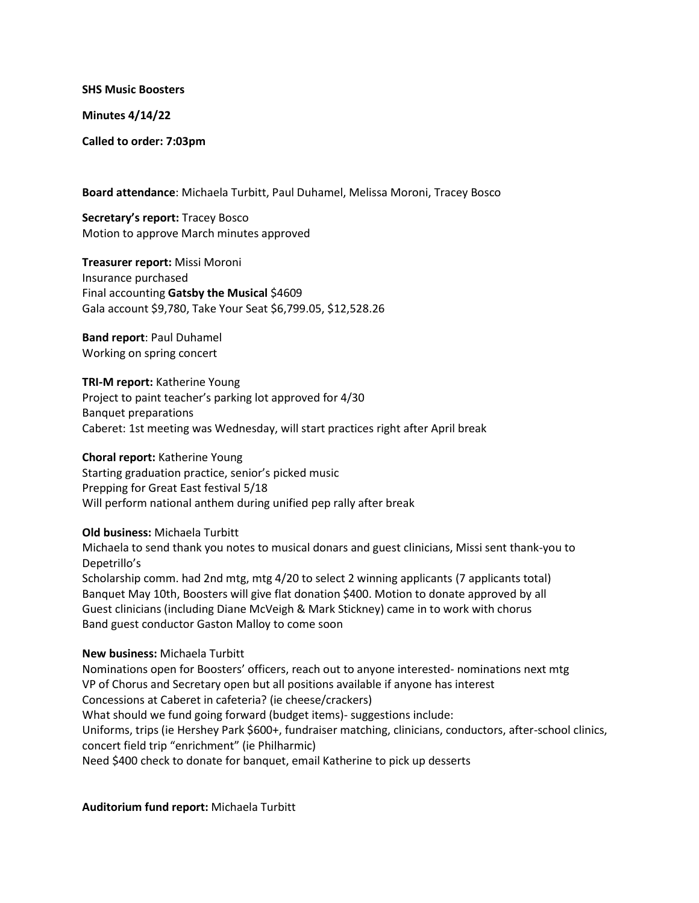**SHS Music Boosters**

**Minutes 4/14/22**

**Called to order: 7:03pm**

**Board attendance**: Michaela Turbitt, Paul Duhamel, Melissa Moroni, Tracey Bosco

**Secretary's report:** Tracey Bosco Motion to approve March minutes approved

**Treasurer report:** Missi Moroni Insurance purchased Final accounting **Gatsby the Musical** \$4609 Gala account \$9,780, Take Your Seat \$6,799.05, \$12,528.26

**Band report**: Paul Duhamel Working on spring concert

**TRI-M report:** Katherine Young Project to paint teacher's parking lot approved for 4/30 Banquet preparations Caberet: 1st meeting was Wednesday, will start practices right after April break

**Choral report:** Katherine Young Starting graduation practice, senior's picked music Prepping for Great East festival 5/18 Will perform national anthem during unified pep rally after break

**Old business:** Michaela Turbitt

Michaela to send thank you notes to musical donars and guest clinicians, Missi sent thank-you to Depetrillo's

Scholarship comm. had 2nd mtg, mtg 4/20 to select 2 winning applicants (7 applicants total) Banquet May 10th, Boosters will give flat donation \$400. Motion to donate approved by all Guest clinicians (including Diane McVeigh & Mark Stickney) came in to work with chorus Band guest conductor Gaston Malloy to come soon

## **New business:** Michaela Turbitt

Nominations open for Boosters' officers, reach out to anyone interested- nominations next mtg VP of Chorus and Secretary open but all positions available if anyone has interest Concessions at Caberet in cafeteria? (ie cheese/crackers) What should we fund going forward (budget items)- suggestions include: Uniforms, trips (ie Hershey Park \$600+, fundraiser matching, clinicians, conductors, after-school clinics, concert field trip "enrichment" (ie Philharmic) Need \$400 check to donate for banquet, email Katherine to pick up desserts

**Auditorium fund report:** Michaela Turbitt